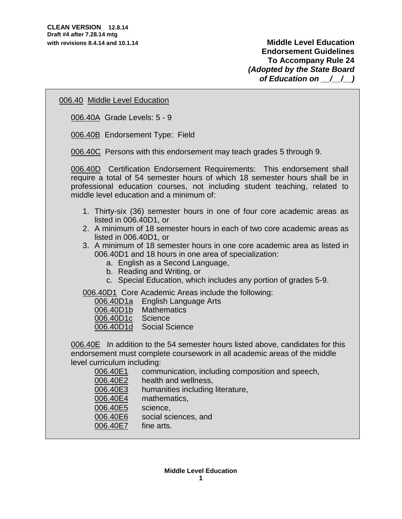## 006.40 Middle Level Education

006.40A Grade Levels: 5 - 9

006.40B Endorsement Type: Field

006.40C Persons with this endorsement may teach grades 5 through 9.

006.40D Certification Endorsement Requirements: This endorsement shall require a total of 54 semester hours of which 18 semester hours shall be in professional education courses, not including student teaching, related to middle level education and a minimum of:

- 1. Thirty-six (36) semester hours in one of four core academic areas as listed in 006.40D1, or
- 2. A minimum of 18 semester hours in each of two core academic areas as listed in 006.40D1, or
- 3. A minimum of 18 semester hours in one core academic area as listed in 006.40D1 and 18 hours in one area of specialization:
	- a. English as a Second Language,
	- b. Reading and Writing, or
	- c. Special Education, which includes any portion of grades 5-9.

006.40D1 Core Academic Areas include the following:

006.40D1a English Language Arts

006.40D1b Mathematics

- 006.40D1c Science
- 006.40D1d Social Science

006.40E In addition to the 54 semester hours listed above, candidates for this endorsement must complete coursework in all academic areas of the middle level curriculum including:

| 006.40E1 | communication, including composition and speech, |
|----------|--------------------------------------------------|
| 006.40E2 | health and wellness,                             |
| 006.40E3 | humanities including literature,                 |
| 006.40E4 | mathematics,                                     |
| 006.40E5 | science,                                         |
| 006.40E6 | social sciences, and                             |
| 006.40E7 | fine arts.                                       |
|          |                                                  |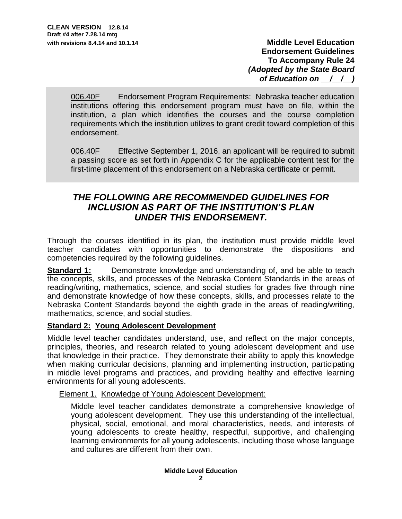006.40F Endorsement Program Requirements: Nebraska teacher education institutions offering this endorsement program must have on file, within the institution, a plan which identifies the courses and the course completion requirements which the institution utilizes to grant credit toward completion of this endorsement.

006.40F Effective September 1, 2016, an applicant will be required to submit a passing score as set forth in Appendix C for the applicable content test for the first-time placement of this endorsement on a Nebraska certificate or permit.

# *THE FOLLOWING ARE RECOMMENDED GUIDELINES FOR INCLUSION AS PART OF THE INSTITUTION'S PLAN UNDER THIS ENDORSEMENT.*

Through the courses identified in its plan, the institution must provide middle level teacher candidates with opportunities to demonstrate the dispositions and competencies required by the following guidelines.

**Standard 1:** Demonstrate knowledge and understanding of, and be able to teach the concepts, skills, and processes of the Nebraska Content Standards in the areas of reading/writing, mathematics, science, and social studies for grades five through nine and demonstrate knowledge of how these concepts, skills, and processes relate to the Nebraska Content Standards beyond the eighth grade in the areas of reading/writing, mathematics, science, and social studies.

## **Standard 2: Young Adolescent Development**

Middle level teacher candidates understand, use, and reflect on the major concepts, principles, theories, and research related to young adolescent development and use that knowledge in their practice. They demonstrate their ability to apply this knowledge when making curricular decisions, planning and implementing instruction, participating in middle level programs and practices, and providing healthy and effective learning environments for all young adolescents.

## Element 1. Knowledge of Young Adolescent Development:

Middle level teacher candidates demonstrate a comprehensive knowledge of young adolescent development. They use this understanding of the intellectual, physical, social, emotional, and moral characteristics, needs, and interests of young adolescents to create healthy, respectful, supportive, and challenging learning environments for all young adolescents, including those whose language and cultures are different from their own.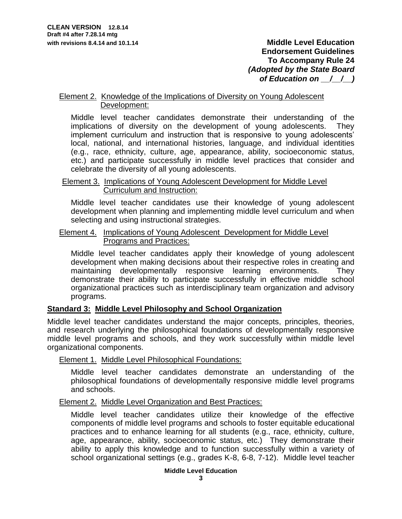### Element 2. Knowledge of the Implications of Diversity on Young Adolescent Development:

Middle level teacher candidates demonstrate their understanding of the implications of diversity on the development of young adolescents. They implement curriculum and instruction that is responsive to young adolescents' local, national, and international histories, language, and individual identities (e.g., race, ethnicity, culture, age, appearance, ability, socioeconomic status, etc.) and participate successfully in middle level practices that consider and celebrate the diversity of all young adolescents.

### Element 3. Implications of Young Adolescent Development for Middle Level Curriculum and Instruction:

Middle level teacher candidates use their knowledge of young adolescent development when planning and implementing middle level curriculum and when selecting and using instructional strategies.

## Element 4. Implications of Young Adolescent Development for Middle Level Programs and Practices:

Middle level teacher candidates apply their knowledge of young adolescent development when making decisions about their respective roles in creating and maintaining developmentally responsive learning environments. They demonstrate their ability to participate successfully in effective middle school organizational practices such as interdisciplinary team organization and advisory programs.

## **Standard 3: Middle Level Philosophy and School Organization**

Middle level teacher candidates understand the major concepts, principles, theories, and research underlying the philosophical foundations of developmentally responsive middle level programs and schools, and they work successfully within middle level organizational components.

## Element 1. Middle Level Philosophical Foundations:

Middle level teacher candidates demonstrate an understanding of the philosophical foundations of developmentally responsive middle level programs and schools.

## Element 2. Middle Level Organization and Best Practices:

Middle level teacher candidates utilize their knowledge of the effective components of middle level programs and schools to foster equitable educational practices and to enhance learning for all students (e.g., race, ethnicity, culture, age, appearance, ability, socioeconomic status, etc.) They demonstrate their ability to apply this knowledge and to function successfully within a variety of school organizational settings (e.g., grades K-8, 6-8, 7-12). Middle level teacher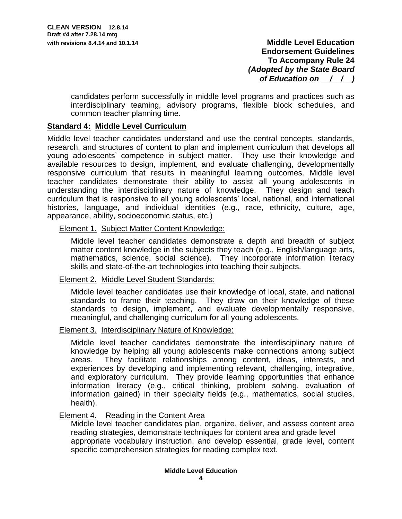candidates perform successfully in middle level programs and practices such as interdisciplinary teaming, advisory programs, flexible block schedules, and common teacher planning time.

## **Standard 4: Middle Level Curriculum**

Middle level teacher candidates understand and use the central concepts, standards, research, and structures of content to plan and implement curriculum that develops all young adolescents' competence in subject matter. They use their knowledge and available resources to design, implement, and evaluate challenging, developmentally responsive curriculum that results in meaningful learning outcomes. Middle level teacher candidates demonstrate their ability to assist all young adolescents in understanding the interdisciplinary nature of knowledge. They design and teach curriculum that is responsive to all young adolescents' local, national, and international histories, language, and individual identities (e.g., race, ethnicity, culture, age, appearance, ability, socioeconomic status, etc.)

Element 1. Subject Matter Content Knowledge:

Middle level teacher candidates demonstrate a depth and breadth of subject matter content knowledge in the subjects they teach (e.g., English/language arts, mathematics, science, social science). They incorporate information literacy skills and state-of-the-art technologies into teaching their subjects.

## Element 2. Middle Level Student Standards:

Middle level teacher candidates use their knowledge of local, state, and national standards to frame their teaching. They draw on their knowledge of these standards to design, implement, and evaluate developmentally responsive, meaningful, and challenging curriculum for all young adolescents.

### Element 3. Interdisciplinary Nature of Knowledge:

Middle level teacher candidates demonstrate the interdisciplinary nature of knowledge by helping all young adolescents make connections among subject areas. They facilitate relationships among content, ideas, interests, and experiences by developing and implementing relevant, challenging, integrative, and exploratory curriculum. They provide learning opportunities that enhance information literacy (e.g., critical thinking, problem solving, evaluation of information gained) in their specialty fields (e.g., mathematics, social studies, health).

### Element 4. Reading in the Content Area

Middle level teacher candidates plan, organize, deliver, and assess content area reading strategies, demonstrate techniques for content area and grade level appropriate vocabulary instruction, and develop essential, grade level, content specific comprehension strategies for reading complex text.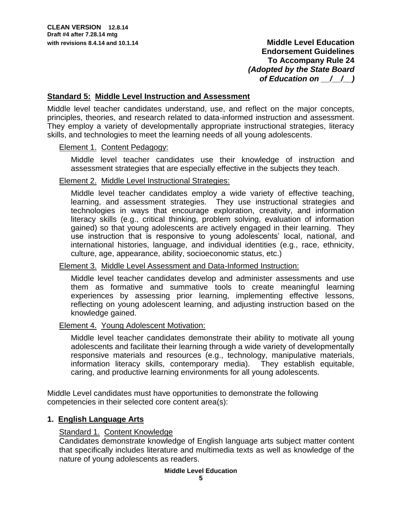### **Standard 5: Middle Level Instruction and Assessment**

Middle level teacher candidates understand, use, and reflect on the major concepts, principles, theories, and research related to data-informed instruction and assessment. They employ a variety of developmentally appropriate instructional strategies, literacy skills, and technologies to meet the learning needs of all young adolescents.

### Element 1. Content Pedagogy:

Middle level teacher candidates use their knowledge of instruction and assessment strategies that are especially effective in the subjects they teach.

### Element 2. Middle Level Instructional Strategies:

Middle level teacher candidates employ a wide variety of effective teaching, learning, and assessment strategies. They use instructional strategies and technologies in ways that encourage exploration, creativity, and information literacy skills (e.g., critical thinking, problem solving, evaluation of information gained) so that young adolescents are actively engaged in their learning. They use instruction that is responsive to young adolescents' local, national, and international histories, language, and individual identities (e.g., race, ethnicity, culture, age, appearance, ability, socioeconomic status, etc.)

### Element 3. Middle Level Assessment and Data-Informed Instruction:

Middle level teacher candidates develop and administer assessments and use them as formative and summative tools to create meaningful learning experiences by assessing prior learning, implementing effective lessons, reflecting on young adolescent learning, and adjusting instruction based on the knowledge gained.

### Element 4. Young Adolescent Motivation:

Middle level teacher candidates demonstrate their ability to motivate all young adolescents and facilitate their learning through a wide variety of developmentally responsive materials and resources (e.g., technology, manipulative materials, information literacy skills, contemporary media). They establish equitable, caring, and productive learning environments for all young adolescents.

Middle Level candidates must have opportunities to demonstrate the following competencies in their selected core content area(s):

## **1. English Language Arts**

## Standard 1. Content Knowledge

Candidates demonstrate knowledge of English language arts subject matter content that specifically includes literature and multimedia texts as well as knowledge of the nature of young adolescents as readers.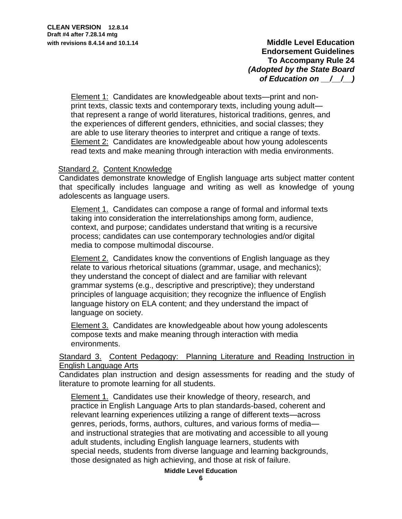Element 1: Candidates are knowledgeable about texts—print and nonprint texts, classic texts and contemporary texts, including young adult that represent a range of world literatures, historical traditions, genres, and the experiences of different genders, ethnicities, and social classes; they are able to use literary theories to interpret and critique a range of texts. Element 2: Candidates are knowledgeable about how young adolescents read texts and make meaning through interaction with media environments.

## Standard 2. Content Knowledge

Candidates demonstrate knowledge of English language arts subject matter content that specifically includes language and writing as well as knowledge of young adolescents as language users.

Element 1. Candidates can compose a range of formal and informal texts taking into consideration the interrelationships among form, audience, context, and purpose; candidates understand that writing is a recursive process; candidates can use contemporary technologies and/or digital media to compose multimodal discourse.

**Element 2.** Candidates know the conventions of English language as they relate to various rhetorical situations (grammar, usage, and mechanics); they understand the concept of dialect and are familiar with relevant grammar systems (e.g., descriptive and prescriptive); they understand principles of language acquisition; they recognize the influence of English language history on ELA content; and they understand the impact of language on society.

Element 3. Candidates are knowledgeable about how young adolescents compose texts and make meaning through interaction with media environments.

Standard 3. Content Pedagogy: Planning Literature and Reading Instruction in English Language Arts

Candidates plan instruction and design assessments for reading and the study of literature to promote learning for all students.

Element 1. Candidates use their knowledge of theory, research, and practice in English Language Arts to plan standards-based, coherent and relevant learning experiences utilizing a range of different texts—across genres, periods, forms, authors, cultures, and various forms of media and instructional strategies that are motivating and accessible to all young adult students, including English language learners, students with special needs, students from diverse language and learning backgrounds, those designated as high achieving, and those at risk of failure.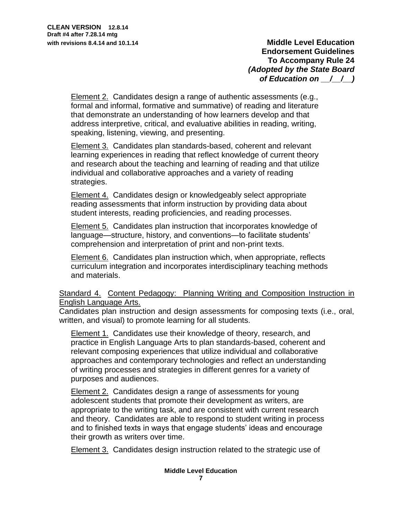Element 2. Candidates design a range of authentic assessments (e.g., formal and informal, formative and summative) of reading and literature that demonstrate an understanding of how learners develop and that address interpretive, critical, and evaluative abilities in reading, writing, speaking, listening, viewing, and presenting.

Element 3. Candidates plan standards-based, coherent and relevant learning experiences in reading that reflect knowledge of current theory and research about the teaching and learning of reading and that utilize individual and collaborative approaches and a variety of reading strategies.

Element 4. Candidates design or knowledgeably select appropriate reading assessments that inform instruction by providing data about student interests, reading proficiencies, and reading processes.

Element 5. Candidates plan instruction that incorporates knowledge of language—structure, history, and conventions—to facilitate students' comprehension and interpretation of print and non-print texts.

Element 6. Candidates plan instruction which, when appropriate, reflects curriculum integration and incorporates interdisciplinary teaching methods and materials.

## Standard 4. Content Pedagogy: Planning Writing and Composition Instruction in English Language Arts.

Candidates plan instruction and design assessments for composing texts (i.e., oral, written, and visual) to promote learning for all students.

Element 1. Candidates use their knowledge of theory, research, and practice in English Language Arts to plan standards-based, coherent and relevant composing experiences that utilize individual and collaborative approaches and contemporary technologies and reflect an understanding of writing processes and strategies in different genres for a variety of purposes and audiences.

Element 2. Candidates design a range of assessments for young adolescent students that promote their development as writers, are appropriate to the writing task, and are consistent with current research and theory. Candidates are able to respond to student writing in process and to finished texts in ways that engage students' ideas and encourage their growth as writers over time.

**Element 3.** Candidates design instruction related to the strategic use of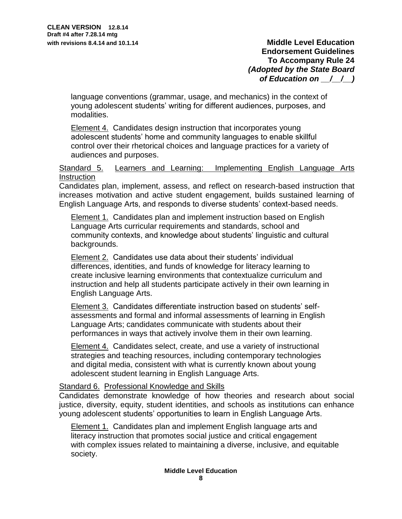language conventions (grammar, usage, and mechanics) in the context of young adolescent students' writing for different audiences, purposes, and modalities.

Element 4. Candidates design instruction that incorporates young adolescent students' home and community languages to enable skillful control over their rhetorical choices and language practices for a variety of audiences and purposes.

## Standard 5. Learners and Learning: Implementing English Language Arts **Instruction**

Candidates plan, implement, assess, and reflect on research-based instruction that increases motivation and active student engagement, builds sustained learning of English Language Arts, and responds to diverse students' context-based needs.

Element 1. Candidates plan and implement instruction based on English Language Arts curricular requirements and standards, school and community contexts, and knowledge about students' linguistic and cultural backgrounds.

Element 2. Candidates use data about their students' individual differences, identities, and funds of knowledge for literacy learning to create inclusive learning environments that contextualize curriculum and instruction and help all students participate actively in their own learning in English Language Arts.

Element 3. Candidates differentiate instruction based on students' selfassessments and formal and informal assessments of learning in English Language Arts; candidates communicate with students about their performances in ways that actively involve them in their own learning.

Element 4. Candidates select, create, and use a variety of instructional strategies and teaching resources, including contemporary technologies and digital media, consistent with what is currently known about young adolescent student learning in English Language Arts.

## Standard 6. Professional Knowledge and Skills

Candidates demonstrate knowledge of how theories and research about social justice, diversity, equity, student identities, and schools as institutions can enhance young adolescent students' opportunities to learn in English Language Arts.

Element 1. Candidates plan and implement English language arts and literacy instruction that promotes social justice and critical engagement with complex issues related to maintaining a diverse, inclusive, and equitable society.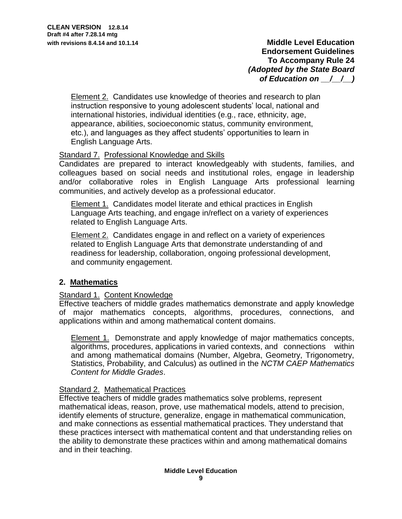Element 2. Candidates use knowledge of theories and research to plan instruction responsive to young adolescent students' local, national and international histories, individual identities (e.g., race, ethnicity, age, appearance, abilities, socioeconomic status, community environment, etc.), and languages as they affect students' opportunities to learn in English Language Arts.

# Standard 7. Professional Knowledge and Skills

Candidates are prepared to interact knowledgeably with students, families, and colleagues based on social needs and institutional roles, engage in leadership and/or collaborative roles in English Language Arts professional learning communities, and actively develop as a professional educator.

Element 1. Candidates model literate and ethical practices in English Language Arts teaching, and engage in/reflect on a variety of experiences related to English Language Arts.

Element 2. Candidates engage in and reflect on a variety of experiences related to English Language Arts that demonstrate understanding of and readiness for leadership, collaboration, ongoing professional development, and community engagement.

## **2. Mathematics**

### Standard 1. Content Knowledge

Effective teachers of middle grades mathematics demonstrate and apply knowledge of major mathematics concepts, algorithms, procedures, connections, and applications within and among mathematical content domains.

Element 1. Demonstrate and apply knowledge of major mathematics concepts, algorithms, procedures, applications in varied contexts, and connections within and among mathematical domains (Number, Algebra, Geometry, Trigonometry, Statistics, Probability, and Calculus) as outlined in the *NCTM CAEP Mathematics Content for Middle Grades*.

### Standard 2. Mathematical Practices

Effective teachers of middle grades mathematics solve problems, represent mathematical ideas, reason, prove, use mathematical models, attend to precision, identify elements of structure, generalize, engage in mathematical communication, and make connections as essential mathematical practices. They understand that these practices intersect with mathematical content and that understanding relies on the ability to demonstrate these practices within and among mathematical domains and in their teaching.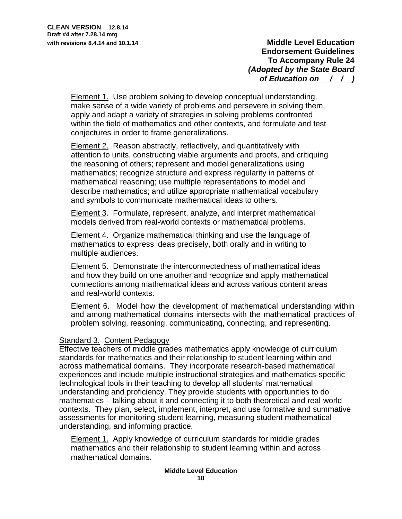Element 1. Use problem solving to develop conceptual understanding, make sense of a wide variety of problems and persevere in solving them, apply and adapt a variety of strategies in solving problems confronted within the field of mathematics and other contexts, and formulate and test conjectures in order to frame generalizations.

Element 2. Reason abstractly, reflectively, and quantitatively with attention to units, constructing viable arguments and proofs, and critiquing the reasoning of others; represent and model generalizations using mathematics; recognize structure and express regularity in patterns of mathematical reasoning; use multiple representations to model and describe mathematics; and utilize appropriate mathematical vocabulary and symbols to communicate mathematical ideas to others.

**Element 3. Formulate, represent, analyze, and interpret mathematical** models derived from real-world contexts or mathematical problems.

Element 4. Organize mathematical thinking and use the language of mathematics to express ideas precisely, both orally and in writing to multiple audiences.

Element 5. Demonstrate the interconnectedness of mathematical ideas and how they build on one another and recognize and apply mathematical connections among mathematical ideas and across various content areas and real-world contexts.

Element 6. Model how the development of mathematical understanding within and among mathematical domains intersects with the mathematical practices of problem solving, reasoning, communicating, connecting, and representing.

### Standard 3. Content Pedagogy

Effective teachers of middle grades mathematics apply knowledge of curriculum standards for mathematics and their relationship to student learning within and across mathematical domains. They incorporate research-based mathematical experiences and include multiple instructional strategies and mathematics-specific technological tools in their teaching to develop all students' mathematical understanding and proficiency. They provide students with opportunities to do mathematics – talking about it and connecting it to both theoretical and real-world contexts. They plan, select, implement, interpret, and use formative and summative assessments for monitoring student learning, measuring student mathematical understanding, and informing practice.

**Element 1.** Apply knowledge of curriculum standards for middle grades mathematics and their relationship to student learning within and across mathematical domains.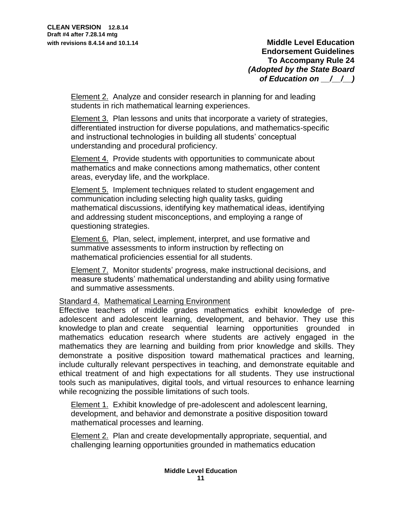Element 2. Analyze and consider research in planning for and leading students in rich mathematical learning experiences.

Element 3. Plan lessons and units that incorporate a variety of strategies, differentiated instruction for diverse populations, and mathematics-specific and instructional technologies in building all students' conceptual understanding and procedural proficiency.

Element 4. Provide students with opportunities to communicate about mathematics and make connections among mathematics, other content areas, everyday life, and the workplace.

Element 5. Implement techniques related to student engagement and communication including selecting high quality tasks, guiding mathematical discussions, identifying key mathematical ideas, identifying and addressing student misconceptions, and employing a range of questioning strategies.

Element 6. Plan, select, implement, interpret, and use formative and summative assessments to inform instruction by reflecting on mathematical proficiencies essential for all students.

Element 7. Monitor students' progress, make instructional decisions, and measure students' mathematical understanding and ability using formative and summative assessments.

Standard 4. Mathematical Learning Environment

Effective teachers of middle grades mathematics exhibit knowledge of preadolescent and adolescent learning, development, and behavior. They use this knowledge to plan and create sequential learning opportunities grounded in mathematics education research where students are actively engaged in the mathematics they are learning and building from prior knowledge and skills. They demonstrate a positive disposition toward mathematical practices and learning, include culturally relevant perspectives in teaching, and demonstrate equitable and ethical treatment of and high expectations for all students. They use instructional tools such as manipulatives, digital tools, and virtual resources to enhance learning while recognizing the possible limitations of such tools.

Element 1. Exhibit knowledge of pre-adolescent and adolescent learning, development, and behavior and demonstrate a positive disposition toward mathematical processes and learning.

Element 2. Plan and create developmentally appropriate, sequential, and challenging learning opportunities grounded in mathematics education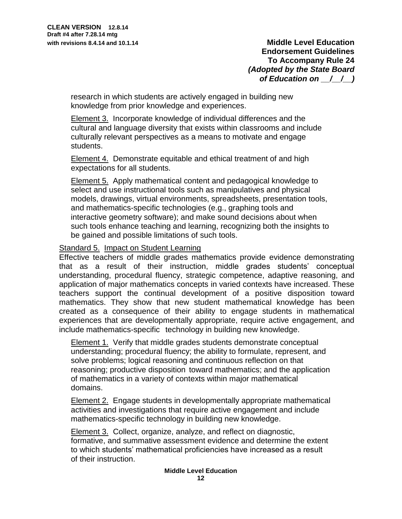research in which students are actively engaged in building new knowledge from prior knowledge and experiences.

Element 3. Incorporate knowledge of individual differences and the cultural and language diversity that exists within classrooms and include culturally relevant perspectives as a means to motivate and engage students.

Element 4. Demonstrate equitable and ethical treatment of and high expectations for all students.

Element 5. Apply mathematical content and pedagogical knowledge to select and use instructional tools such as manipulatives and physical models, drawings, virtual environments, spreadsheets, presentation tools, and mathematics-specific technologies (e.g., graphing tools and interactive geometry software); and make sound decisions about when such tools enhance teaching and learning, recognizing both the insights to be gained and possible limitations of such tools.

### Standard 5. Impact on Student Learning

Effective teachers of middle grades mathematics provide evidence demonstrating that as a result of their instruction, middle grades students' conceptual understanding, procedural fluency, strategic competence, adaptive reasoning, and application of major mathematics concepts in varied contexts have increased. These teachers support the continual development of a positive disposition toward mathematics. They show that new student mathematical knowledge has been created as a consequence of their ability to engage students in mathematical experiences that are developmentally appropriate, require active engagement, and include mathematics-specific technology in building new knowledge.

Element 1. Verify that middle grades students demonstrate conceptual understanding; procedural fluency; the ability to formulate, represent, and solve problems; logical reasoning and continuous reflection on that reasoning; productive disposition toward mathematics; and the application of mathematics in a variety of contexts within major mathematical domains.

Element 2. Engage students in developmentally appropriate mathematical activities and investigations that require active engagement and include mathematics-specific technology in building new knowledge.

Element 3. Collect, organize, analyze, and reflect on diagnostic, formative, and summative assessment evidence and determine the extent to which students' mathematical proficiencies have increased as a result of their instruction.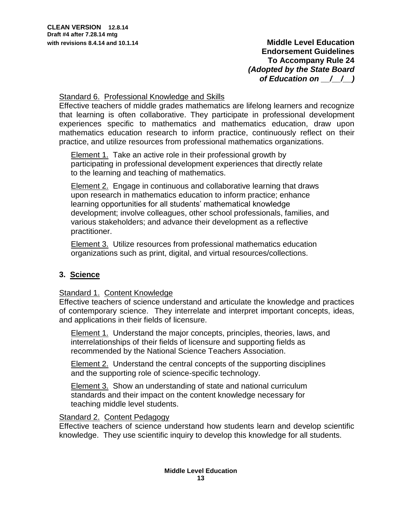## Standard 6. Professional Knowledge and Skills

Effective teachers of middle grades mathematics are lifelong learners and recognize that learning is often collaborative. They participate in professional development experiences specific to mathematics and mathematics education, draw upon mathematics education research to inform practice, continuously reflect on their practice, and utilize resources from professional mathematics organizations.

Element 1. Take an active role in their professional growth by participating in professional development experiences that directly relate to the learning and teaching of mathematics.

Element 2. Engage in continuous and collaborative learning that draws upon research in mathematics education to inform practice; enhance learning opportunities for all students' mathematical knowledge development; involve colleagues, other school professionals, families, and various stakeholders; and advance their development as a reflective practitioner.

Element 3. Utilize resources from professional mathematics education organizations such as print, digital, and virtual resources/collections.

# **3. Science**

# Standard 1. Content Knowledge

Effective teachers of science understand and articulate the knowledge and practices of contemporary science. They interrelate and interpret important concepts, ideas, and applications in their fields of licensure.

Element 1. Understand the major concepts, principles, theories, laws, and interrelationships of their fields of licensure and supporting fields as recommended by the National Science Teachers Association.

**Element 2.** Understand the central concepts of the supporting disciplines and the supporting role of science-specific technology.

Element 3. Show an understanding of state and national curriculum standards and their impact on the content knowledge necessary for teaching middle level students.

## Standard 2. Content Pedagogy

Effective teachers of science understand how students learn and develop scientific knowledge. They use scientific inquiry to develop this knowledge for all students.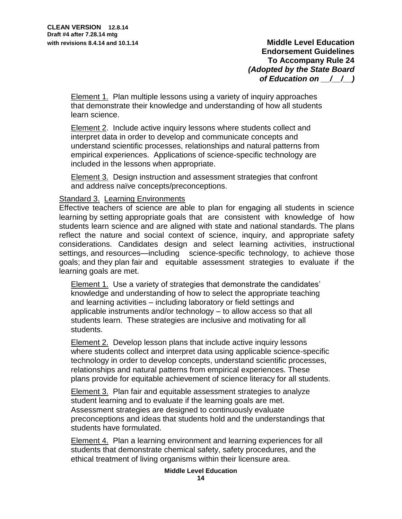Element 1. Plan multiple lessons using a variety of inquiry approaches that demonstrate their knowledge and understanding of how all students learn science.

Element 2. Include active inquiry lessons where students collect and interpret data in order to develop and communicate concepts and understand scientific processes, relationships and natural patterns from empirical experiences. Applications of science-specific technology are included in the lessons when appropriate.

Element 3. Design instruction and assessment strategies that confront and address naïve concepts/preconceptions.

## Standard 3. Learning Environments

Effective teachers of science are able to plan for engaging all students in science learning by setting appropriate goals that are consistent with knowledge of how students learn science and are aligned with state and national standards. The plans reflect the nature and social context of science, inquiry, and appropriate safety considerations. Candidates design and select learning activities, instructional settings, and resources—including science-specific technology, to achieve those goals; and they plan fair and equitable assessment strategies to evaluate if the learning goals are met.

Element 1. Use a variety of strategies that demonstrate the candidates' knowledge and understanding of how to select the appropriate teaching and learning activities – including laboratory or field settings and applicable instruments and/or technology – to allow access so that all students learn. These strategies are inclusive and motivating for all students.

Element 2. Develop lesson plans that include active inquiry lessons where students collect and interpret data using applicable science-specific technology in order to develop concepts, understand scientific processes, relationships and natural patterns from empirical experiences. These plans provide for equitable achievement of science literacy for all students.

Element 3. Plan fair and equitable assessment strategies to analyze student learning and to evaluate if the learning goals are met. Assessment strategies are designed to continuously evaluate preconceptions and ideas that students hold and the understandings that students have formulated.

Element 4. Plan a learning environment and learning experiences for all students that demonstrate chemical safety, safety procedures, and the ethical treatment of living organisms within their licensure area.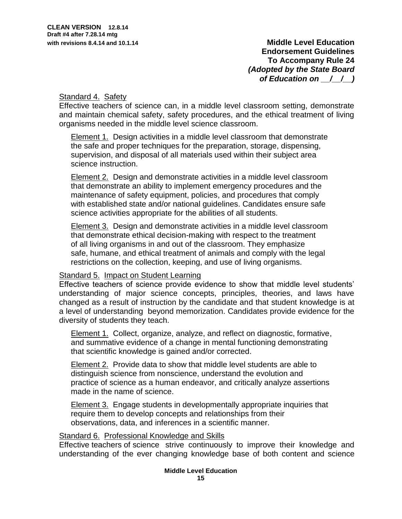## Standard 4. Safety

Effective teachers of science can, in a middle level classroom setting, demonstrate and maintain chemical safety, safety procedures, and the ethical treatment of living organisms needed in the middle level science classroom.

**Element 1.** Design activities in a middle level classroom that demonstrate the safe and proper techniques for the preparation, storage, dispensing, supervision, and disposal of all materials used within their subject area science instruction.

Element 2. Design and demonstrate activities in a middle level classroom that demonstrate an ability to implement emergency procedures and the maintenance of safety equipment, policies, and procedures that comply with established state and/or national guidelines. Candidates ensure safe science activities appropriate for the abilities of all students.

Element 3. Design and demonstrate activities in a middle level classroom that demonstrate ethical decision-making with respect to the treatment of all living organisms in and out of the classroom. They emphasize safe, humane, and ethical treatment of animals and comply with the legal restrictions on the collection, keeping, and use of living organisms.

## Standard 5. Impact on Student Learning

Effective teachers of science provide evidence to show that middle level students' understanding of major science concepts, principles, theories, and laws have changed as a result of instruction by the candidate and that student knowledge is at a level of understanding beyond memorization. Candidates provide evidence for the diversity of students they teach.

Element 1. Collect, organize, analyze, and reflect on diagnostic, formative, and summative evidence of a change in mental functioning demonstrating that scientific knowledge is gained and/or corrected.

Element 2. Provide data to show that middle level students are able to distinguish science from nonscience, understand the evolution and practice of science as a human endeavor, and critically analyze assertions made in the name of science.

Element 3. Engage students in developmentally appropriate inquiries that require them to develop concepts and relationships from their observations, data, and inferences in a scientific manner.

## Standard 6. Professional Knowledge and Skills

Effective teachers of science strive continuously to improve their knowledge and understanding of the ever changing knowledge base of both content and science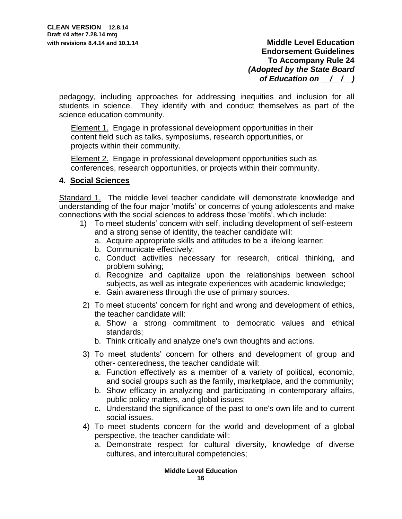pedagogy, including approaches for addressing inequities and inclusion for all students in science. They identify with and conduct themselves as part of the science education community.

Element 1. Engage in professional development opportunities in their content field such as talks, symposiums, research opportunities, or projects within their community.

Element 2. Engage in professional development opportunities such as conferences, research opportunities, or projects within their community.

## **4. Social Sciences**

Standard 1. The middle level teacher candidate will demonstrate knowledge and understanding of the four major 'motifs' or concerns of young adolescents and make connections with the social sciences to address those 'motifs', which include:

- 1) To meet students' concern with self, including development of self-esteem and a strong sense of identity, the teacher candidate will:
	- a. Acquire appropriate skills and attitudes to be a lifelong learner;
	- b. Communicate effectively;
	- c. Conduct activities necessary for research, critical thinking, and problem solving;
	- d. Recognize and capitalize upon the relationships between school subjects, as well as integrate experiences with academic knowledge;
	- e. Gain awareness through the use of primary sources.
- 2) To meet students' concern for right and wrong and development of ethics, the teacher candidate will:
	- a. Show a strong commitment to democratic values and ethical standards;
	- b. Think critically and analyze one's own thoughts and actions.
- 3) To meet students' concern for others and development of group and other- centeredness, the teacher candidate will:
	- a. Function effectively as a member of a variety of political, economic, and social groups such as the family, marketplace, and the community;
	- b. Show efficacy in analyzing and participating in contemporary affairs, public policy matters, and global issues;
	- c. Understand the significance of the past to one's own life and to current social issues.
- 4) To meet students concern for the world and development of a global perspective, the teacher candidate will:
	- a. Demonstrate respect for cultural diversity, knowledge of diverse cultures, and intercultural competencies;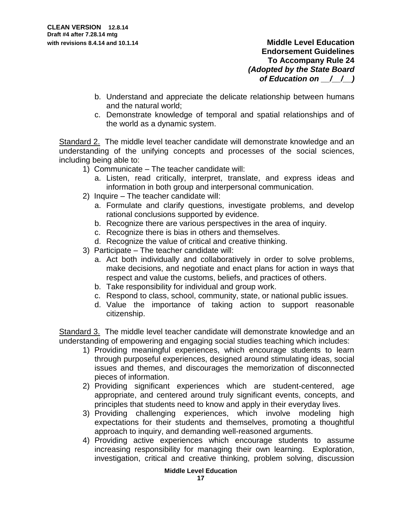- b. Understand and appreciate the delicate relationship between humans and the natural world;
- c. Demonstrate knowledge of temporal and spatial relationships and of the world as a dynamic system.

Standard 2. The middle level teacher candidate will demonstrate knowledge and an understanding of the unifying concepts and processes of the social sciences, including being able to:

- 1) Communicate The teacher candidate will:
	- a. Listen, read critically, interpret, translate, and express ideas and information in both group and interpersonal communication.
- 2) Inquire The teacher candidate will:
	- a. Formulate and clarify questions, investigate problems, and develop rational conclusions supported by evidence.
	- b. Recognize there are various perspectives in the area of inquiry.
	- c. Recognize there is bias in others and themselves.
	- d. Recognize the value of critical and creative thinking.
- 3) Participate The teacher candidate will:
	- a. Act both individually and collaboratively in order to solve problems, make decisions, and negotiate and enact plans for action in ways that respect and value the customs, beliefs, and practices of others.
	- b. Take responsibility for individual and group work.
	- c. Respond to class, school, community, state, or national public issues.
	- d. Value the importance of taking action to support reasonable citizenship.

Standard 3. The middle level teacher candidate will demonstrate knowledge and an understanding of empowering and engaging social studies teaching which includes:

- 1) Providing meaningful experiences, which encourage students to learn through purposeful experiences, designed around stimulating ideas, social issues and themes, and discourages the memorization of disconnected pieces of information.
- 2) Providing significant experiences which are student-centered, age appropriate, and centered around truly significant events, concepts, and principles that students need to know and apply in their everyday lives.
- 3) Providing challenging experiences, which involve modeling high expectations for their students and themselves, promoting a thoughtful approach to inquiry, and demanding well-reasoned arguments.
- 4) Providing active experiences which encourage students to assume increasing responsibility for managing their own learning. Exploration, investigation, critical and creative thinking, problem solving, discussion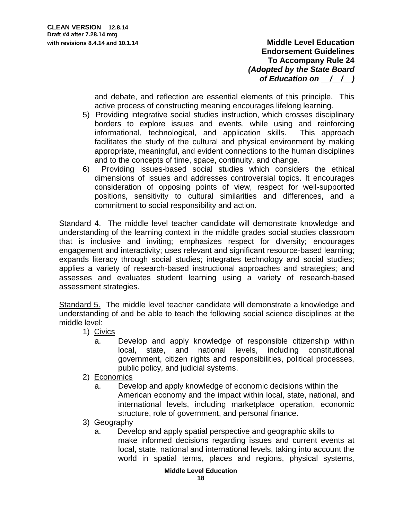> and debate, and reflection are essential elements of this principle. This active process of constructing meaning encourages lifelong learning.

- 5) Providing integrative social studies instruction, which crosses disciplinary borders to explore issues and events, while using and reinforcing informational, technological, and application skills. This approach facilitates the study of the cultural and physical environment by making appropriate, meaningful, and evident connections to the human disciplines and to the concepts of time, space, continuity, and change.
- 6) Providing issues-based social studies which considers the ethical dimensions of issues and addresses controversial topics. It encourages consideration of opposing points of view, respect for well-supported positions, sensitivity to cultural similarities and differences, and a commitment to social responsibility and action.

Standard 4. The middle level teacher candidate will demonstrate knowledge and understanding of the learning context in the middle grades social studies classroom that is inclusive and inviting; emphasizes respect for diversity; encourages engagement and interactivity; uses relevant and significant resource-based learning; expands literacy through social studies; integrates technology and social studies; applies a variety of research-based instructional approaches and strategies; and assesses and evaluates student learning using a variety of research-based assessment strategies.

Standard 5. The middle level teacher candidate will demonstrate a knowledge and understanding of and be able to teach the following social science disciplines at the middle level:

- 1) Civics
	- a. Develop and apply knowledge of responsible citizenship within local, state, and national levels, including constitutional government, citizen rights and responsibilities, political processes, public policy, and judicial systems.
- 2) Economics
	- a. Develop and apply knowledge of economic decisions within the American economy and the impact within local, state, national, and international levels, including marketplace operation, economic structure, role of government, and personal finance.
- 3) Geography
	- a. Develop and apply spatial perspective and geographic skills to make informed decisions regarding issues and current events at local, state, national and international levels, taking into account the world in spatial terms, places and regions, physical systems,